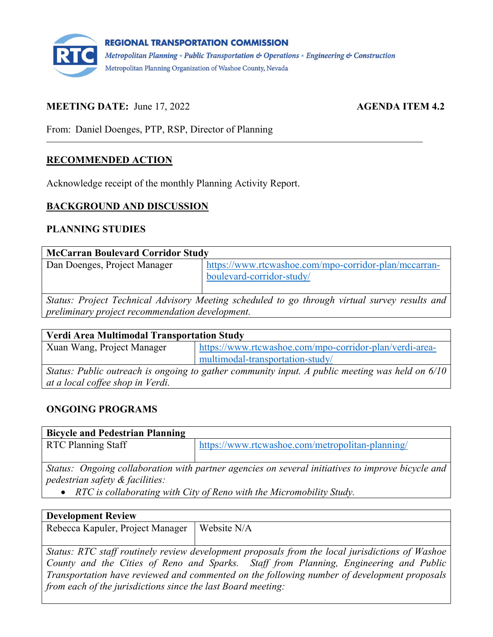

## **MEETING DATE:** June 17, 2022 **AGENDA ITEM 4.2**

From: Daniel Doenges, PTP, RSP, Director of Planning

## **RECOMMENDED ACTION**

Acknowledge receipt of the monthly Planning Activity Report.

#### **BACKGROUND AND DISCUSSION**

#### **PLANNING STUDIES**

| <b>McCarran Boulevard Corridor Study</b>                                                                                                         |                                                                                    |
|--------------------------------------------------------------------------------------------------------------------------------------------------|------------------------------------------------------------------------------------|
| Dan Doenges, Project Manager                                                                                                                     | https://www.rtcwashoe.com/mpo-corridor-plan/mccarran-<br>boulevard-corridor-study/ |
| Status: Project Technical Advisory Meeting scheduled to go through virtual survey results and<br>preliminary project recommendation development. |                                                                                    |

| <b>Verdi Area Multimodal Transportation Study</b>                                               |                                                         |  |
|-------------------------------------------------------------------------------------------------|---------------------------------------------------------|--|
| Xuan Wang, Project Manager                                                                      | https://www.rtcwashoe.com/mpo-corridor-plan/verdi-area- |  |
|                                                                                                 | multimodal-transportation-study/                        |  |
| Status: Public outreach is ongoing to gather community input. A public meeting was held on 6/10 |                                                         |  |
| at a local coffee shop in Verdi.                                                                |                                                         |  |

## **ONGOING PROGRAMS**

## **Bicycle and Pedestrian Planning**

| <b>RTC Planning Staff</b> | $\frac{1}{2}$ https://www.rtcwashoe.com/metropolitan-planning/ |
|---------------------------|----------------------------------------------------------------|

*Status: Ongoing collaboration with partner agencies on several initiatives to improve bicycle and pedestrian safety & facilities:*

• *RTC is collaborating with City of Reno with the Micromobility Study.*

#### **Development Review**

Rebecca Kapuler, Project Manager | Website N/A

*Status: RTC staff routinely review development proposals from the local jurisdictions of Washoe County and the Cities of Reno and Sparks. Staff from Planning, Engineering and Public Transportation have reviewed and commented on the following number of development proposals from each of the jurisdictions since the last Board meeting:*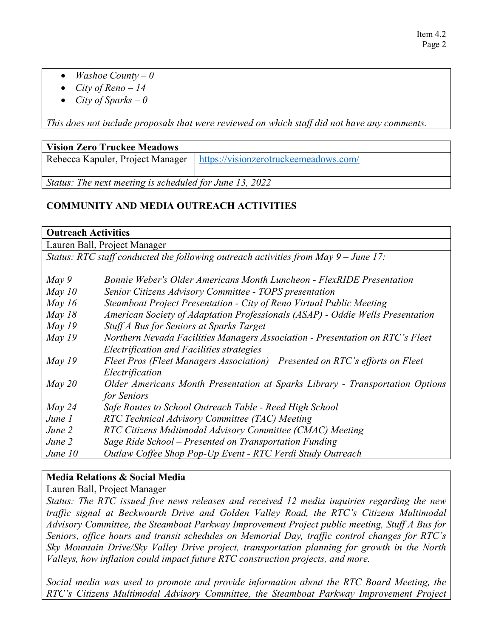- *Washoe County – 0*
- *City of Reno – 14*
- *City of Sparks – 0*

*This does not include proposals that were reviewed on which staff did not have any comments.*

## **Vision Zero Truckee Meadows**

Rebecca Kapuler, Project Manager | <https://visionzerotruckeemeadows.com/>

*Status: The next meeting is scheduled for June 13, 2022*

# **COMMUNITY AND MEDIA OUTREACH ACTIVITIES**

| <b>Outreach Activities</b> |                                                                                       |  |
|----------------------------|---------------------------------------------------------------------------------------|--|
|                            | Lauren Ball, Project Manager                                                          |  |
|                            | Status: RTC staff conducted the following outreach activities from May $9$ – June 17: |  |
|                            |                                                                                       |  |
| $May\,9$                   | Bonnie Weber's Older Americans Month Luncheon - FlexRIDE Presentation                 |  |
| May $10$                   | Senior Citizens Advisory Committee - TOPS presentation                                |  |
| May $16$                   | Steamboat Project Presentation - City of Reno Virtual Public Meeting                  |  |
| May $18$                   | American Society of Adaptation Professionals (ASAP) - Oddie Wells Presentation        |  |
| May $19$                   | Stuff A Bus for Seniors at Sparks Target                                              |  |
| May $19$                   | Northern Nevada Facilities Managers Association - Presentation on RTC's Fleet         |  |
|                            | Electrification and Facilities strategies                                             |  |
| May $19$                   | Fleet Pros (Fleet Managers Association) Presented on RTC's efforts on Fleet           |  |
|                            | Electrification                                                                       |  |
| May 20                     | Older Americans Month Presentation at Sparks Library - Transportation Options         |  |
|                            | for Seniors                                                                           |  |
| May 24                     | Safe Routes to School Outreach Table - Reed High School                               |  |
| June 1                     | RTC Technical Advisory Committee (TAC) Meeting                                        |  |
| June 2                     | RTC Citizens Multimodal Advisory Committee (CMAC) Meeting                             |  |
| June 2                     | Sage Ride School – Presented on Transportation Funding                                |  |
| June $10$                  | Outlaw Coffee Shop Pop-Up Event - RTC Verdi Study Outreach                            |  |

## **Media Relations & Social Media**

Lauren Ball, Project Manager

*Status: The RTC issued five news releases and received 12 media inquiries regarding the new traffic signal at Beckwourth Drive and Golden Valley Road, the RTC's Citizens Multimodal Advisory Committee, the Steamboat Parkway Improvement Project public meeting, Stuff A Bus for Seniors, office hours and transit schedules on Memorial Day, traffic control changes for RTC's Sky Mountain Drive/Sky Valley Drive project, transportation planning for growth in the North Valleys, how inflation could impact future RTC construction projects, and more.*

*Social media was used to promote and provide information about the RTC Board Meeting, the RTC's Citizens Multimodal Advisory Committee, the Steamboat Parkway Improvement Project*